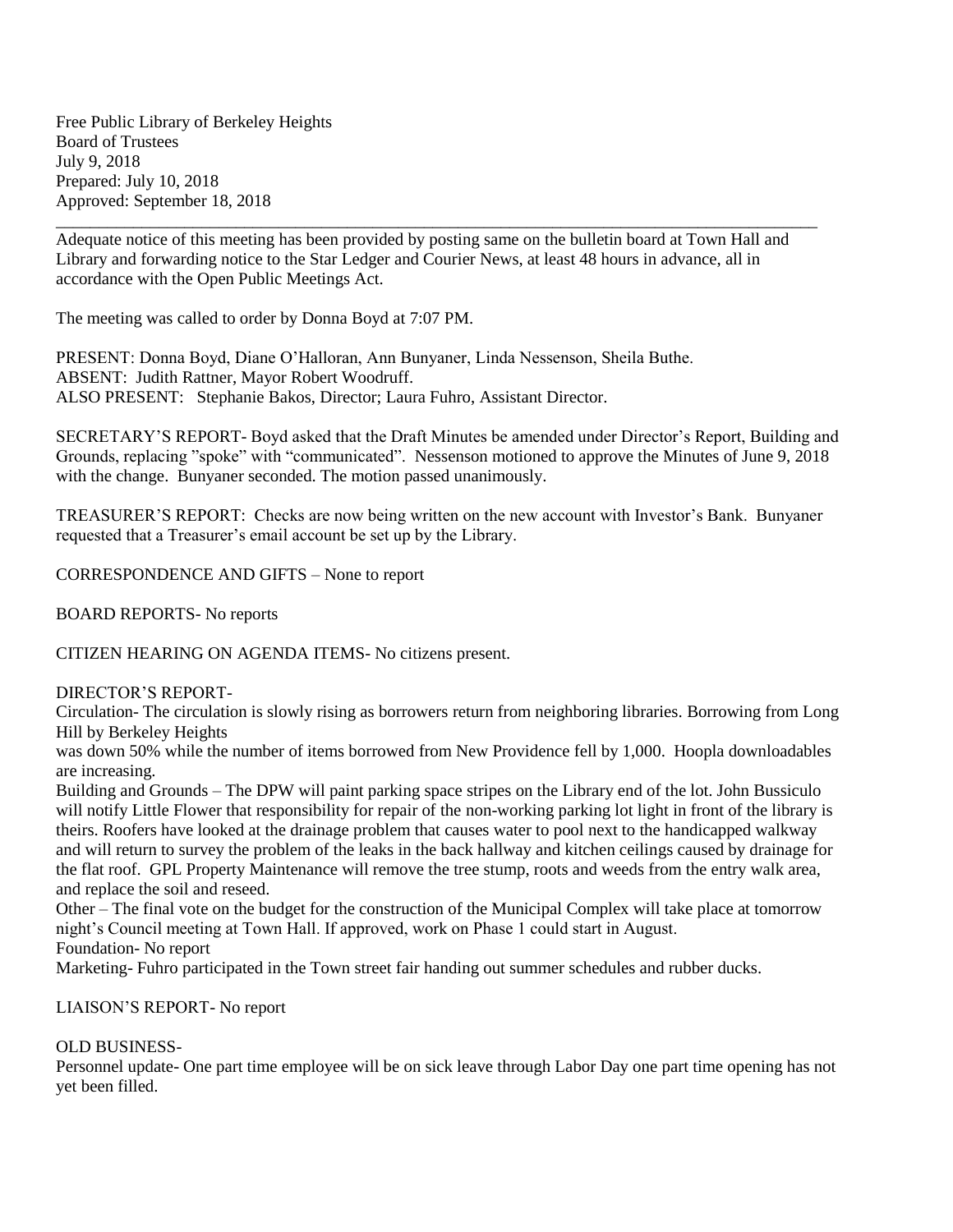Free Public Library of Berkeley Heights Board of Trustees July 9, 2018 Prepared: July 10, 2018 Approved: September 18, 2018

\_\_\_\_\_\_\_\_\_\_\_\_\_\_\_\_\_\_\_\_\_\_\_\_\_\_\_\_\_\_\_\_\_\_\_\_\_\_\_\_\_\_\_\_\_\_\_\_\_\_\_\_\_\_\_\_\_\_\_\_\_\_\_\_\_\_\_\_\_\_\_\_\_\_\_\_\_\_\_\_\_\_\_\_\_\_\_\_\_ Adequate notice of this meeting has been provided by posting same on the bulletin board at Town Hall and Library and forwarding notice to the Star Ledger and Courier News, at least 48 hours in advance, all in accordance with the Open Public Meetings Act.

The meeting was called to order by Donna Boyd at 7:07 PM.

PRESENT: Donna Boyd, Diane O'Halloran, Ann Bunyaner, Linda Nessenson, Sheila Buthe. ABSENT: Judith Rattner, Mayor Robert Woodruff. ALSO PRESENT: Stephanie Bakos, Director; Laura Fuhro, Assistant Director.

SECRETARY'S REPORT- Boyd asked that the Draft Minutes be amended under Director's Report, Building and Grounds, replacing "spoke" with "communicated". Nessenson motioned to approve the Minutes of June 9, 2018 with the change. Bunyaner seconded. The motion passed unanimously.

TREASURER'S REPORT: Checks are now being written on the new account with Investor's Bank. Bunyaner requested that a Treasurer's email account be set up by the Library.

CORRESPONDENCE AND GIFTS – None to report

BOARD REPORTS- No reports

CITIZEN HEARING ON AGENDA ITEMS- No citizens present.

DIRECTOR'S REPORT-

Circulation- The circulation is slowly rising as borrowers return from neighboring libraries. Borrowing from Long Hill by Berkeley Heights

was down 50% while the number of items borrowed from New Providence fell by 1,000. Hoopla downloadables are increasing.

Building and Grounds – The DPW will paint parking space stripes on the Library end of the lot. John Bussiculo will notify Little Flower that responsibility for repair of the non-working parking lot light in front of the library is theirs. Roofers have looked at the drainage problem that causes water to pool next to the handicapped walkway and will return to survey the problem of the leaks in the back hallway and kitchen ceilings caused by drainage for the flat roof. GPL Property Maintenance will remove the tree stump, roots and weeds from the entry walk area, and replace the soil and reseed.

Other – The final vote on the budget for the construction of the Municipal Complex will take place at tomorrow night's Council meeting at Town Hall. If approved, work on Phase 1 could start in August. Foundation- No report

Marketing- Fuhro participated in the Town street fair handing out summer schedules and rubber ducks.

LIAISON'S REPORT- No report

## OLD BUSINESS-

Personnel update- One part time employee will be on sick leave through Labor Day one part time opening has not yet been filled.